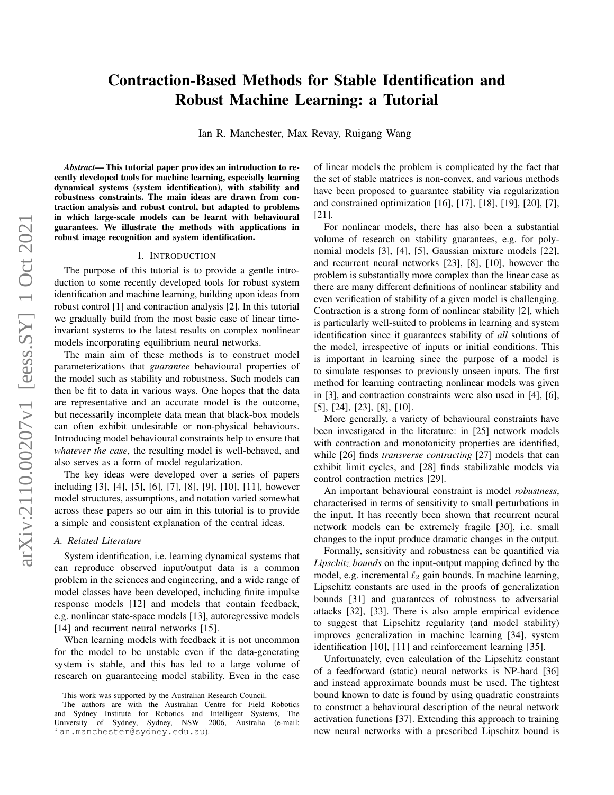# Contraction-Based Methods for Stable Identification and Robust Machine Learning: a Tutorial

Ian R. Manchester, Max Revay, Ruigang Wang

*Abstract*— This tutorial paper provides an introduction to recently developed tools for machine learning, especially learning dynamical systems (system identification), with stability and robustness constraints. The main ideas are drawn from contraction analysis and robust control, but adapted to problems in which large-scale models can be learnt with behavioural guarantees. We illustrate the methods with applications in robust image recognition and system identification.

#### I. INTRODUCTION

The purpose of this tutorial is to provide a gentle introduction to some recently developed tools for robust system identification and machine learning, building upon ideas from robust control [1] and contraction analysis [2]. In this tutorial we gradually build from the most basic case of linear timeinvariant systems to the latest results on complex nonlinear models incorporating equilibrium neural networks.

The main aim of these methods is to construct model parameterizations that *guarantee* behavioural properties of the model such as stability and robustness. Such models can then be fit to data in various ways. One hopes that the data are representative and an accurate model is the outcome, but necessarily incomplete data mean that black-box models can often exhibit undesirable or non-physical behaviours. Introducing model behavioural constraints help to ensure that *whatever the case*, the resulting model is well-behaved, and also serves as a form of model regularization.

The key ideas were developed over a series of papers including [3], [4], [5], [6], [7], [8], [9], [10], [11], however model structures, assumptions, and notation varied somewhat across these papers so our aim in this tutorial is to provide a simple and consistent explanation of the central ideas.

# *A. Related Literature*

System identification, i.e. learning dynamical systems that can reproduce observed input/output data is a common problem in the sciences and engineering, and a wide range of model classes have been developed, including finite impulse response models [12] and models that contain feedback, e.g. nonlinear state-space models [13], autoregressive models [14] and recurrent neural networks [15].

When learning models with feedback it is not uncommon for the model to be unstable even if the data-generating system is stable, and this has led to a large volume of research on guaranteeing model stability. Even in the case of linear models the problem is complicated by the fact that the set of stable matrices is non-convex, and various methods have been proposed to guarantee stability via regularization and constrained optimization [16], [17], [18], [19], [20], [7], [21].

For nonlinear models, there has also been a substantial volume of research on stability guarantees, e.g. for polynomial models [3], [4], [5], Gaussian mixture models [22], and recurrent neural networks [23], [8], [10], however the problem is substantially more complex than the linear case as there are many different definitions of nonlinear stability and even verification of stability of a given model is challenging. Contraction is a strong form of nonlinear stability [2], which is particularly well-suited to problems in learning and system identification since it guarantees stability of *all* solutions of the model, irrespective of inputs or initial conditions. This is important in learning since the purpose of a model is to simulate responses to previously unseen inputs. The first method for learning contracting nonlinear models was given in [3], and contraction constraints were also used in [4], [6], [5], [24], [23], [8], [10].

More generally, a variety of behavioural constraints have been investigated in the literature: in [25] network models with contraction and monotonicity properties are identified, while [26] finds *transverse contracting* [27] models that can exhibit limit cycles, and [28] finds stabilizable models via control contraction metrics [29].

An important behavioural constraint is model *robustness*, characterised in terms of sensitivity to small perturbations in the input. It has recently been shown that recurrent neural network models can be extremely fragile [30], i.e. small changes to the input produce dramatic changes in the output.

Formally, sensitivity and robustness can be quantified via *Lipschitz bounds* on the input-output mapping defined by the model, e.g. incremental  $\ell_2$  gain bounds. In machine learning, Lipschitz constants are used in the proofs of generalization bounds [31] and guarantees of robustness to adversarial attacks [32], [33]. There is also ample empirical evidence to suggest that Lipschitz regularity (and model stability) improves generalization in machine learning [34], system identification [10], [11] and reinforcement learning [35].

Unfortunately, even calculation of the Lipschitz constant of a feedforward (static) neural networks is NP-hard [36] and instead approximate bounds must be used. The tightest bound known to date is found by using quadratic constraints to construct a behavioural description of the neural network activation functions [37]. Extending this approach to training new neural networks with a prescribed Lipschitz bound is

This work was supported by the Australian Research Council.

The authors are with the Australian Centre for Field Robotics and Sydney Institute for Robotics and Intelligent Systems, The University of Sydney, Sydney, NSW 2006, Australia (e-mail: ian.manchester@sydney.edu.au).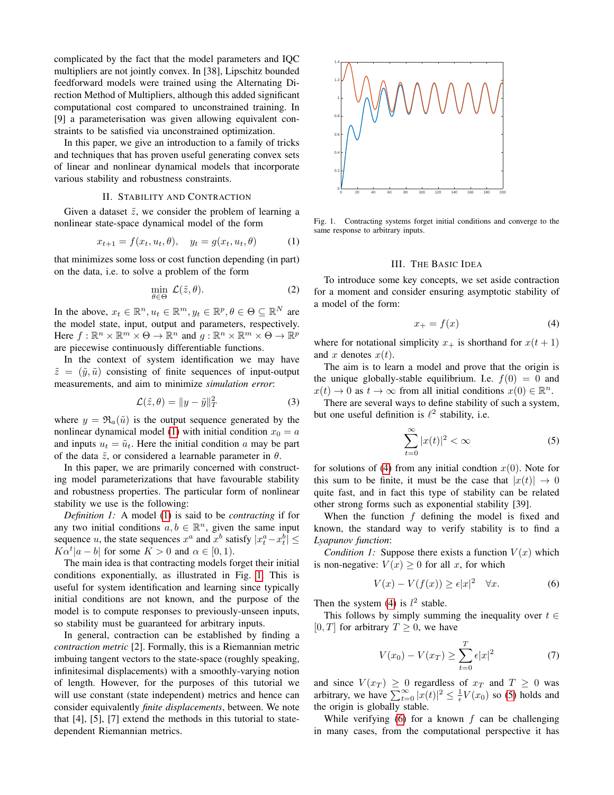complicated by the fact that the model parameters and IQC multipliers are not jointly convex. In [38], Lipschitz bounded feedforward models were trained using the Alternating Direction Method of Multipliers, although this added significant computational cost compared to unconstrained training. In [9] a parameterisation was given allowing equivalent constraints to be satisfied via unconstrained optimization.

In this paper, we give an introduction to a family of tricks and techniques that has proven useful generating convex sets of linear and nonlinear dynamical models that incorporate various stability and robustness constraints.

#### II. STABILITY AND CONTRACTION

Given a dataset  $\tilde{z}$ , we consider the problem of learning a nonlinear state-space dynamical model of the form

<span id="page-1-0"></span>
$$
x_{t+1} = f(x_t, u_t, \theta), \quad y_t = g(x_t, u_t, \theta) \tag{1}
$$

that minimizes some loss or cost function depending (in part) on the data, i.e. to solve a problem of the form

$$
\min_{\theta \in \Theta} \mathcal{L}(\tilde{z}, \theta). \tag{2}
$$

In the above,  $x_t \in \mathbb{R}^n, u_t \in \mathbb{R}^m, y_t \in \mathbb{R}^p, \theta \in \Theta \subseteq \mathbb{R}^N$  are the model state, input, output and parameters, respectively. Here  $f: \mathbb{R}^n \times \mathbb{R}^m \times \Theta \to \mathbb{R}^n$  and  $g: \mathbb{R}^n \times \mathbb{R}^m \times \Theta \to \mathbb{R}^p$ are piecewise continuously differentiable functions.

In the context of system identification we may have  $\tilde{z} = (\tilde{y}, \tilde{u})$  consisting of finite sequences of input-output measurements, and aim to minimize *simulation error*:

$$
\mathcal{L}(\tilde{z}, \theta) = ||y - \tilde{y}||_T^2 \tag{3}
$$

where  $y = \Re_a(\tilde{u})$  is the output sequence generated by the nonlinear dynamical model [\(1\)](#page-1-0) with initial condition  $x_0 = a$ and inputs  $u_t = \tilde{u}_t$ . Here the initial condition a may be part of the data  $\tilde{z}$ , or considered a learnable parameter in  $\theta$ .

In this paper, we are primarily concerned with constructing model parameterizations that have favourable stability and robustness properties. The particular form of nonlinear stability we use is the following:

*Definition 1:* A model [\(1\)](#page-1-0) is said to be *contracting* if for any two initial conditions  $a, b \in \mathbb{R}^n$ , given the same input sequence u, the state sequences  $x^a$  and  $x^b$  satisfy  $|x_t^a - x_t^b| \le$  $K\alpha^t |a-b|$  for some  $K > 0$  and  $\alpha \in [0,1)$ .

The main idea is that contracting models forget their initial conditions exponentially, as illustrated in Fig. [1.](#page-1-1) This is useful for system identification and learning since typically initial conditions are not known, and the purpose of the model is to compute responses to previously-unseen inputs, so stability must be guaranteed for arbitrary inputs.

In general, contraction can be established by finding a *contraction metric* [2]. Formally, this is a Riemannian metric imbuing tangent vectors to the state-space (roughly speaking, infinitesimal displacements) with a smoothly-varying notion of length. However, for the purposes of this tutorial we will use constant (state independent) metrics and hence can consider equivalently *finite displacements*, between. We note that [4], [5], [7] extend the methods in this tutorial to statedependent Riemannian metrics.



<span id="page-1-1"></span>Fig. 1. Contracting systems forget initial conditions and converge to the same response to arbitrary inputs.

#### III. THE BASIC IDEA

To introduce some key concepts, we set aside contraction for a moment and consider ensuring asymptotic stability of a model of the form:

<span id="page-1-2"></span>
$$
x_{+} = f(x) \tag{4}
$$

where for notational simplicity  $x_+$  is shorthand for  $x(t + 1)$ and x denotes  $x(t)$ .

The aim is to learn a model and prove that the origin is the unique globally-stable equilibrium. I.e.  $f(0) = 0$  and  $x(t) \to 0$  as  $t \to \infty$  from all initial conditions  $x(0) \in \mathbb{R}^n$ .

There are several ways to define stability of such a system, but one useful definition is  $\ell^2$  stability, i.e.

<span id="page-1-3"></span>
$$
\sum_{t=0}^{\infty} |x(t)|^2 < \infty \tag{5}
$$

for solutions of [\(4\)](#page-1-2) from any initial condtion  $x(0)$ . Note for this sum to be finite, it must be the case that  $|x(t)| \rightarrow 0$ quite fast, and in fact this type of stability can be related other strong forms such as exponential stability [39].

When the function f defining the model is fixed and known, the standard way to verify stability is to find a *Lyapunov function*:

*Condition 1:* Suppose there exists a function  $V(x)$  which is non-negative:  $V(x) \geq 0$  for all x, for which

<span id="page-1-4"></span>
$$
V(x) - V(f(x)) \ge \epsilon |x|^2 \quad \forall x.
$$
 (6)

Then the system [\(4\)](#page-1-2) is  $l^2$  stable.

This follows by simply summing the inequality over  $t \in$ [0, T] for arbitrary  $T \geq 0$ , we have

$$
V(x_0) - V(x_T) \ge \sum_{t=0}^{T} \epsilon |x|^2 \tag{7}
$$

and since  $V(x_T) \geq 0$  regardless of  $x_T$  and  $T \geq 0$  was arbitrary, we have  $\sum_{t=0}^{\infty} |x(t)|^2 \leq \frac{1}{\epsilon} V(x_0)$  so [\(5\)](#page-1-3) holds and the origin is globally stable.

While verifying  $(6)$  for a known f can be challenging in many cases, from the computational perspective it has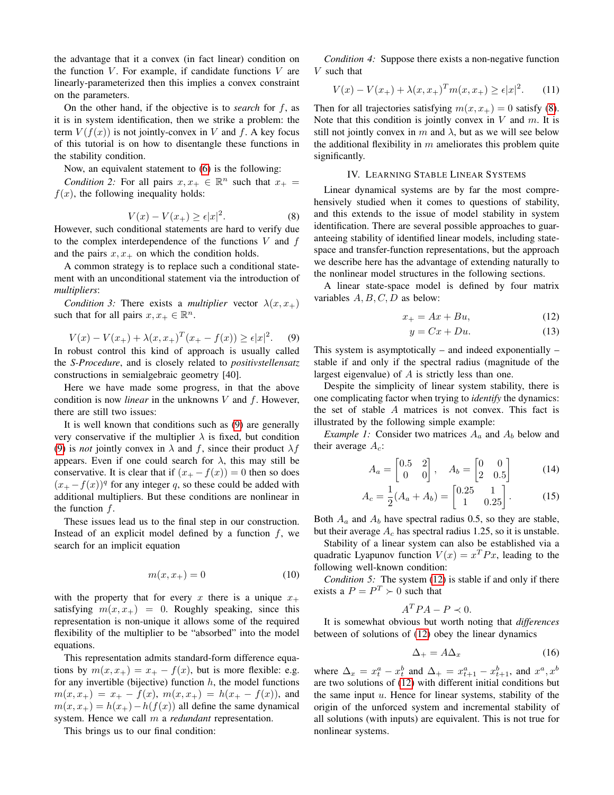the advantage that it a convex (in fact linear) condition on the function  $V$ . For example, if candidate functions  $V$  are linearly-parameterized then this implies a convex constraint on the parameters.

On the other hand, if the objective is to *search* for f, as it is in system identification, then we strike a problem: the term  $V(f(x))$  is not jointly-convex in V and f. A key focus of this tutorial is on how to disentangle these functions in the stability condition.

Now, an equivalent statement to [\(6\)](#page-1-4) is the following:

*Condition 2:* For all pairs  $x, x_+ \in \mathbb{R}^n$  such that  $x_+ =$  $f(x)$ , the following inequality holds:

<span id="page-2-1"></span>
$$
V(x) - V(x_+) \ge \epsilon |x|^2. \tag{8}
$$

However, such conditional statements are hard to verify due to the complex interdependence of the functions  $V$  and  $f$ and the pairs  $x, x_+$  on which the condition holds.

A common strategy is to replace such a conditional statement with an unconditional statement via the introduction of *multipliers*:

*Condition 3:* There exists a *multiplier* vector  $\lambda(x, x_+)$ such that for all pairs  $x, x_+ \in \mathbb{R}^n$ .

<span id="page-2-0"></span>
$$
V(x) - V(x_+) + \lambda(x, x_+)^T (x_+ - f(x)) \ge \epsilon |x|^2.
$$
 (9)  
In robust control this kind of approach is usually called  
the *S-Proceedure*, and is closely related to *positivstellensatz*  
constructions in semialgebraic geometry [40].

Here we have made some progress, in that the above condition is now *linear* in the unknowns V and f. However, there are still two issues:

It is well known that conditions such as [\(9\)](#page-2-0) are generally very conservative if the multiplier  $\lambda$  is fixed, but condition [\(9\)](#page-2-0) is *not* jointly convex in  $\lambda$  and f, since their product  $\lambda f$ appears. Even if one could search for  $\lambda$ , this may still be conservative. It is clear that if  $(x_{+} - f(x)) = 0$  then so does  $(x_{+} - f(x))$ <sup>q</sup> for any integer q, so these could be added with additional multipliers. But these conditions are nonlinear in the function  $f$ .

These issues lead us to the final step in our construction. Instead of an explicit model defined by a function  $f$ , we search for an implicit equation

$$
m(x, x_+) = 0 \tag{10}
$$

with the property that for every x there is a unique  $x_+$ satisfying  $m(x, x_+) = 0$ . Roughly speaking, since this representation is non-unique it allows some of the required flexibility of the multiplier to be "absorbed" into the model equations.

This representation admits standard-form difference equations by  $m(x, x_+) = x_+ - f(x)$ , but is more flexible: e.g. for any invertible (bijective) function  $h$ , the model functions  $m(x, x_+) = x_+ - f(x), m(x, x_+) = h(x_+ - f(x)),$  and  $m(x, x_+) = h(x_+) - h(f(x))$  all define the same dynamical system. Hence we call m a *redundant* representation.

This brings us to our final condition:

*Condition 4:* Suppose there exists a non-negative function V such that

$$
V(x) - V(x_{+}) + \lambda (x, x_{+})^{T} m(x, x_{+}) \ge \epsilon |x|^{2}.
$$
 (11)

Then for all trajectories satisfying  $m(x, x_{+}) = 0$  satisfy [\(8\)](#page-2-1). Note that this condition is jointly convex in  $V$  and  $m$ . It is still not jointly convex in m and  $\lambda$ , but as we will see below the additional flexibility in  $m$  ameliorates this problem quite significantly.

#### IV. LEARNING STABLE LINEAR SYSTEMS

Linear dynamical systems are by far the most comprehensively studied when it comes to questions of stability, and this extends to the issue of model stability in system identification. There are several possible approaches to guaranteeing stability of identified linear models, including statespace and transfer-function representations, but the approach we describe here has the advantage of extending naturally to the nonlinear model structures in the following sections.

A linear state-space model is defined by four matrix variables  $A, B, C, D$  as below:

$$
x_+ = Ax + Bu,\tag{12}
$$

<span id="page-2-2"></span>
$$
y = Cx + Du.
$$
 (13)

This system is asymptotically – and indeed exponentially – stable if and only if the spectral radius (magnitude of the largest eigenvalue) of A is strictly less than one.

Despite the simplicity of linear system stability, there is one complicating factor when trying to *identify* the dynamics: the set of stable A matrices is not convex. This fact is illustrated by the following simple example:

*Example 1:* Consider two matrices  $A_a$  and  $A_b$  below and their average  $A_c$ :

$$
A_a = \begin{bmatrix} 0.5 & 2 \\ 0 & 0 \end{bmatrix}, \quad A_b = \begin{bmatrix} 0 & 0 \\ 2 & 0.5 \end{bmatrix}
$$
 (14)

$$
A_c = \frac{1}{2}(A_a + A_b) = \begin{bmatrix} 0.25 & 1\\ 1 & 0.25 \end{bmatrix}.
$$
 (15)

Both  $A_a$  and  $A_b$  have spectral radius 0.5, so they are stable, but their average  $A_c$  has spectral radius 1.25, so it is unstable.

Stability of a linear system can also be established via a quadratic Lyapunov function  $V(x) = x^T P x$ , leading to the following well-known condition:

*Condition 5:* The system [\(12\)](#page-2-2) is stable if and only if there exists a  $P = P^T \succ 0$  such that

$$
A^T P A - P \prec 0.
$$

It is somewhat obvious but worth noting that *differences* between of solutions of [\(12\)](#page-2-2) obey the linear dynamics

$$
\Delta_+ = A \Delta_x \tag{16}
$$

where  $\Delta_x = x_t^a - x_t^b$  and  $\Delta_+ = x_{t+1}^a - x_{t+1}^b$ , and  $x^a, x^b$ are two solutions of [\(12\)](#page-2-2) with different initial conditions but the same input  $u$ . Hence for linear systems, stability of the origin of the unforced system and incremental stability of all solutions (with inputs) are equivalent. This is not true for nonlinear systems.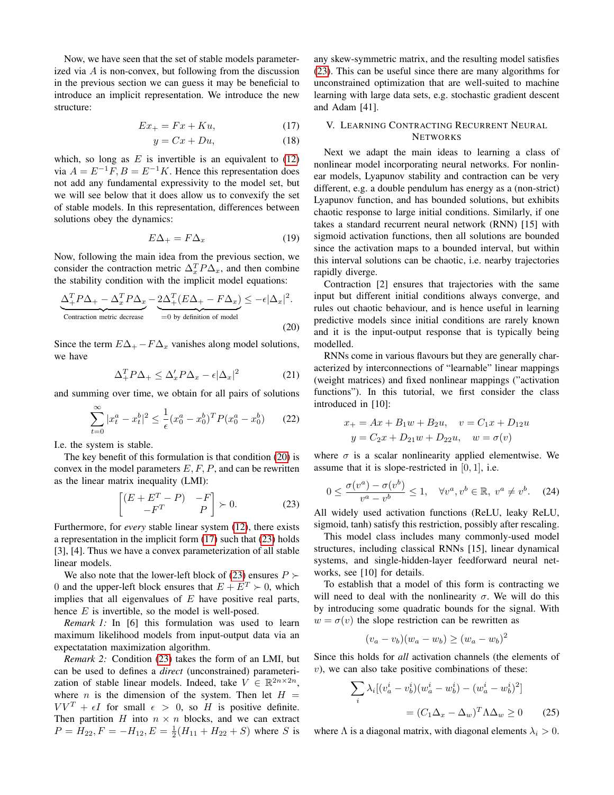Now, we have seen that the set of stable models parameterized via  $A$  is non-convex, but following from the discussion in the previous section we can guess it may be beneficial to introduce an implicit representation. We introduce the new structure:

$$
Ex_{+} = Fx + Ku,
$$
 (17)

$$
y = Cx + Du,\tag{18}
$$

which, so long as  $E$  is invertible is an equivalent to  $(12)$ via  $A = E^{-1}F$ ,  $B = E^{-1}K$ . Hence this representation does not add any fundamental expressivity to the model set, but we will see below that it does allow us to convexify the set of stable models. In this representation, differences between solutions obey the dynamics:

$$
E\Delta_+ = F\Delta_x \tag{19}
$$

Now, following the main idea from the previous section, we consider the contraction metric  $\Delta_x^T P \Delta_x$ , and then combine the stability condition with the implicit model equations:

$$
\underbrace{\Delta_+^T P \Delta_+ - \Delta_x^T P \Delta_x}_{\text{Contraction metric decrease}} - \underbrace{2\Delta_+^T (E\Delta_+ - F\Delta_x)}_{=0 \text{ by definition of model}} \le -\epsilon |\Delta_x|^2.
$$
\n(20)

Since the term  $E\Delta_{+} - F\Delta_{x}$  vanishes along model solutions, we have

$$
\Delta_+^T P \Delta_+ \le \Delta_x' P \Delta_x - \epsilon |\Delta_x|^2 \tag{21}
$$

and summing over time, we obtain for all pairs of solutions

$$
\sum_{t=0}^{\infty} |x_t^a - x_t^b|^2 \le \frac{1}{\epsilon} (x_0^a - x_0^b)^T P (x_0^a - x_0^b) \tag{22}
$$

I.e. the system is stable.

The key benefit of this formulation is that condition [\(20\)](#page-3-0) is convex in the model parameters  $E, F, P$ , and can be rewritten as the linear matrix inequality (LMI):

<span id="page-3-2"></span>
$$
\begin{bmatrix} (E + E^T - P) & -F \\ -F^T & P \end{bmatrix} \succ 0.
$$
 (23)

Furthermore, for *every* stable linear system [\(12\)](#page-2-2), there exists a representation in the implicit form [\(17\)](#page-3-1) such that [\(23\)](#page-3-2) holds [3], [4]. Thus we have a convex parameterization of all stable linear models.

We also note that the lower-left block of [\(23\)](#page-3-2) ensures  $P \succ$ 0 and the upper-left block ensures that  $E + E^T > 0$ , which implies that all eigenvalues of  $E$  have positive real parts, hence  $E$  is invertible, so the model is well-posed.

*Remark 1:* In [6] this formulation was used to learn maximum likelihood models from input-output data via an expectatation maximization algorithm.

*Remark 2:* Condition [\(23\)](#page-3-2) takes the form of an LMI, but can be used to defines a *direct* (unconstrained) parameterization of stable linear models. Indeed, take  $V \in \mathbb{R}^{2n \times 2n}$ , where *n* is the dimension of the system. Then let  $H =$  $VV^T + \epsilon I$  for small  $\epsilon > 0$ , so H is positive definite. Then partition  $H$  into  $n \times n$  blocks, and we can extract  $P = H_{22}, F = -H_{12}, E = \frac{1}{2}(H_{11} + H_{22} + S)$  where S is

any skew-symmetric matrix, and the resulting model satisfies [\(23\)](#page-3-2). This can be useful since there are many algorithms for unconstrained optimization that are well-suited to machine learning with large data sets, e.g. stochastic gradient descent and Adam [41].

# <span id="page-3-3"></span><span id="page-3-1"></span>V. LEARNING CONTRACTING RECURRENT NEURAL **NETWORKS**

Next we adapt the main ideas to learning a class of nonlinear model incorporating neural networks. For nonlinear models, Lyapunov stability and contraction can be very different, e.g. a double pendulum has energy as a (non-strict) Lyapunov function, and has bounded solutions, but exhibits chaotic response to large initial conditions. Similarly, if one takes a standard recurrent neural network (RNN) [15] with sigmoid activation functions, then all solutions are bounded since the activation maps to a bounded interval, but within this interval solutions can be chaotic, i.e. nearby trajectories rapidly diverge.

<span id="page-3-0"></span>Contraction [2] ensures that trajectories with the same input but different initial conditions always converge, and rules out chaotic behaviour, and is hence useful in learning predictive models since initial conditions are rarely known and it is the input-output response that is typically being modelled.

RNNs come in various flavours but they are generally characterized by interconnections of "learnable" linear mappings (weight matrices) and fixed nonlinear mappings ("activation functions"). In this tutorial, we first consider the class introduced in [10]:

$$
x_{+} = Ax + B_1w + B_2u, \quad v = C_1x + D_{12}u
$$

$$
y = C_2x + D_{21}w + D_{22}u, \quad w = \sigma(v)
$$

where  $\sigma$  is a scalar nonlinearity applied elementwise. We assume that it is slope-restricted in  $[0, 1]$ , i.e.

$$
0 \le \frac{\sigma(v^a) - \sigma(v^b)}{v^a - v^b} \le 1, \quad \forall v^a, v^b \in \mathbb{R}, \ v^a \ne v^b. \tag{24}
$$

All widely used activation functions (ReLU, leaky ReLU, sigmoid, tanh) satisfy this restriction, possibly after rescaling.

This model class includes many commonly-used model structures, including classical RNNs [15], linear dynamical systems, and single-hidden-layer feedforward neural networks, see [10] for details.

To establish that a model of this form is contracting we will need to deal with the nonlinearity  $\sigma$ . We will do this by introducing some quadratic bounds for the signal. With  $w = \sigma(v)$  the slope restriction can be rewritten as

$$
(v_a - v_b)(w_a - w_b) \ge (w_a - w_b)^2
$$

Since this holds for *all* activation channels (the elements of  $v$ ), we can also take positive combinations of these:

$$
\sum_{i} \lambda_i [(v_a^i - v_b^i)(w_a^i - w_b^i) - (w_a^i - w_b^i)^2]
$$

$$
= (C_1 \Delta_x - \Delta_w)^T \Lambda \Delta_w \ge 0 \qquad (25)
$$

where  $\Lambda$  is a diagonal matrix, with diagonal elements  $\lambda_i > 0$ .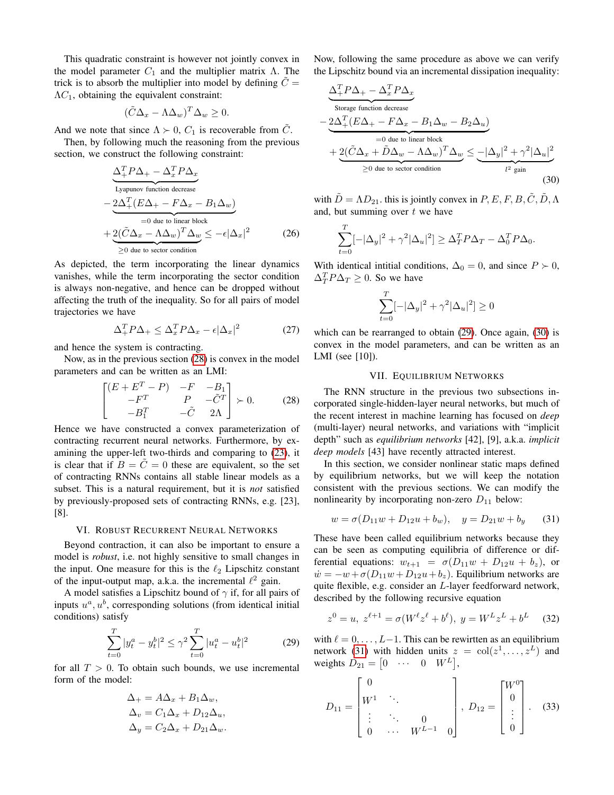This quadratic constraint is however not jointly convex in the model parameter  $C_1$  and the multiplier matrix Λ. The trick is to absorb the multiplier into model by defining  $C =$  $\Lambda C_1$ , obtaining the equivalent constraint:

$$
(\tilde{C}\Delta_x - \Lambda \Delta_w)^T \Delta_w \ge 0.
$$

And we note that since  $\Lambda \succ 0$ ,  $C_1$  is recoverable from  $\tilde{C}$ .

Then, by following much the reasoning from the previous section, we construct the following constraint:

$$
\underbrace{\Delta_{+}^{T} P \Delta_{+} - \Delta_{x}^{T} P \Delta_{x}}_{\text{Lyapunov function decrease}}
$$
\n
$$
-\underbrace{2 \Delta_{+}^{T} (E \Delta_{+} - F \Delta_{x} - B_{1} \Delta_{w})}_{=0 \text{ due to linear block}}
$$
\n
$$
+\underbrace{2(\tilde{C} \Delta_{x} - \Lambda \Delta_{w})^{T} \Delta_{w}}_{\geq 0 \text{ due to sector condition}}
$$
\n(26)

As depicted, the term incorporating the linear dynamics vanishes, while the term incorporating the sector condition is always non-negative, and hence can be dropped without affecting the truth of the inequality. So for all pairs of model trajectories we have

$$
\Delta_{+}^{T} P \Delta_{+} \leq \Delta_{x}^{T} P \Delta_{x} - \epsilon |\Delta_{x}|^{2} \tag{27}
$$

and hence the system is contracting.

Now, as in the previous section [\(28\)](#page-4-0) is convex in the model parameters and can be written as an LMI:

<span id="page-4-0"></span>
$$
\begin{bmatrix}\n(E + E^T - P) & -F & -B_1 \\
-F^T & P & -\tilde{C}^T \\
-B_1^T & -\tilde{C} & 2\Lambda\n\end{bmatrix} \succ 0.
$$
\n(28)

Hence we have constructed a convex parameterization of contracting recurrent neural networks. Furthermore, by examining the upper-left two-thirds and comparing to [\(23\)](#page-3-2), it is clear that if  $B = \tilde{C} = 0$  these are equivalent, so the set of contracting RNNs contains all stable linear models as a subset. This is a natural requirement, but it is *not* satisfied by previously-proposed sets of contracting RNNs, e.g. [23], [8].

## VI. ROBUST RECURRENT NEURAL NETWORKS

<span id="page-4-4"></span>Beyond contraction, it can also be important to ensure a model is *robust*, i.e. not highly sensitive to small changes in the input. One measure for this is the  $\ell_2$  Lipschitz constant of the input-output map, a.k.a. the incremental  $\ell^2$  gain.

A model satisfies a Lipschitz bound of  $\gamma$  if, for all pairs of inputs  $u^a, u^b$ , corresponding solutions (from identical initial conditions) satisfy

<span id="page-4-1"></span>
$$
\sum_{t=0}^{T} |y_t^a - y_t^b|^2 \le \gamma^2 \sum_{t=0}^{T} |u_t^a - u_t^b|^2 \tag{29}
$$

for all  $T > 0$ . To obtain such bounds, we use incremental form of the model:

$$
\Delta_+ = A\Delta_x + B_1\Delta_w,
$$
  
\n
$$
\Delta_v = C_1\Delta_x + D_{12}\Delta_u,
$$
  
\n
$$
\Delta_y = C_2\Delta_x + D_{21}\Delta_w.
$$

Now, following the same procedure as above we can verify the Lipschitz bound via an incremental dissipation inequality:

$$
\frac{\Delta_+^T P \Delta_+ - \Delta_x^T P \Delta_x}{\text{Storage function decrease}}
$$
\n
$$
-\underbrace{2\Delta_+^T (E\Delta_+ - F\Delta_x - B_1\Delta_w - B_2\Delta_u)}_{=0 \text{ due to linear block}}
$$
\n
$$
+\underbrace{2(\tilde{C}\Delta_x + \tilde{D}\Delta_w - \Lambda\Delta_w)^T \Delta_w}_{\geq 0 \text{ due to sector condition}} \leq -|\Delta_y|^2 + \gamma^2 |\Delta_u|^2
$$
\n(30)

with  $\tilde{D} = \Lambda D_{21}$ , this is jointly convex in  $P, E, F, B, \tilde{C}, \tilde{D}, \Lambda$ and, but summing over  $t$  we have

$$
\sum_{t=0}^{T}[-|\Delta_y|^2 + \gamma^2|\Delta_u|^2] \geq \Delta_T^T P \Delta_T - \Delta_0^T P \Delta_0.
$$

With identical intitial conditions,  $\Delta_0 = 0$ , and since  $P \succ 0$ ,  $\Delta_T^T P \Delta_T \geq 0$ . So we have

<span id="page-4-2"></span>
$$
\sum_{t=0}^T [-|\Delta_y|^2+\gamma^2|\Delta_u|^2]\geq 0
$$

which can be rearranged to obtain [\(29\)](#page-4-1). Once again, [\(30\)](#page-4-2) is convex in the model parameters, and can be written as an LMI (see [10]).

# VII. EQUILIBRIUM NETWORKS

<span id="page-4-5"></span>The RNN structure in the previous two subsections incorporated single-hidden-layer neural networks, but much of the recent interest in machine learning has focused on *deep* (multi-layer) neural networks, and variations with "implicit depth" such as *equilibrium networks* [42], [9], a.k.a. *implicit deep models* [43] have recently attracted interest.

In this section, we consider nonlinear static maps defined by equilibrium networks, but we will keep the notation consistent with the previous sections. We can modify the nonlinearity by incorporating non-zero  $D_{11}$  below:

<span id="page-4-3"></span>
$$
w = \sigma(D_{11}w + D_{12}u + b_w), \quad y = D_{21}w + b_y \tag{31}
$$

These have been called equilibrium networks because they can be seen as computing equilibria of difference or differential equations:  $w_{t+1} = \sigma(D_{11}w + D_{12}u + b_z)$ , or  $\dot{w} = -w + \sigma (D_{11}w + D_{12}u + b_z)$ . Equilibrium networks are quite flexible, e.g. consider an L-layer feedforward network, described by the following recursive equation

$$
z^{0} = u, \ z^{\ell+1} = \sigma(W^{\ell} z^{\ell} + b^{\ell}), \ y = W^{L} z^{L} + b^{L} \qquad (32)
$$

with  $\ell = 0, \ldots, L-1$ . This can be rewirtten as an equilibrium network [\(31\)](#page-4-3) with hidden units  $z = col(z^1, ..., z^L)$  and weights  $D_{21} = \begin{bmatrix} 0 & \cdots & 0 & W^L \end{bmatrix}$ ,

$$
D_{11} = \begin{bmatrix} 0 & & & \\ W^1 & \ddots & & \\ \vdots & \ddots & 0 & \\ 0 & \cdots & W^{L-1} & 0 \end{bmatrix}, \ D_{12} = \begin{bmatrix} W^0 \\ 0 \\ \vdots \\ 0 \end{bmatrix}.
$$
 (33)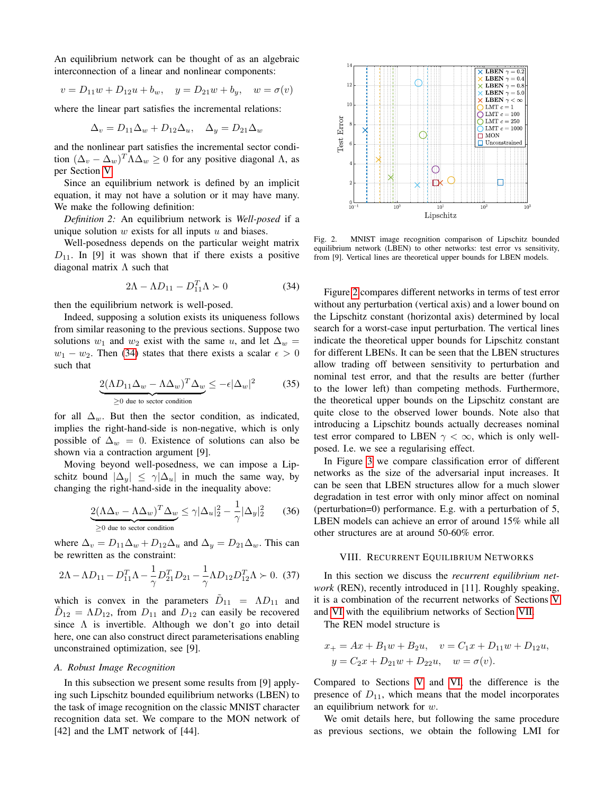An equilibrium network can be thought of as an algebraic interconnection of a linear and nonlinear components:

$$
v = D_{11}w + D_{12}u + b_w, \quad y = D_{21}w + b_y, \quad w = \sigma(v)
$$

where the linear part satisfies the incremental relations:

$$
\Delta_v = D_{11}\Delta_w + D_{12}\Delta_u, \quad \Delta_y = D_{21}\Delta_w
$$

and the nonlinear part satisfies the incremental sector condition  $(\Delta_v - \Delta_w)^T \Lambda \Delta_w \ge 0$  for any positive diagonal  $\Lambda$ , as per Section [V.](#page-3-3)

Since an equilibrium network is defined by an implicit equation, it may not have a solution or it may have many. We make the following definition:

*Definition 2:* An equilibrium network is *Well-posed* if a unique solution  $w$  exists for all inputs  $u$  and biases.

Well-posedness depends on the particular weight matrix  $D_{11}$ . In [9] it was shown that if there exists a positive diagonal matrix  $\Lambda$  such that

<span id="page-5-0"></span>
$$
2\Lambda - \Lambda D_{11} - D_{11}^T \Lambda \succ 0 \tag{34}
$$

then the equilibrium network is well-posed.

Indeed, supposing a solution exists its uniqueness follows from similar reasoning to the previous sections. Suppose two solutions  $w_1$  and  $w_2$  exist with the same u, and let  $\Delta_w =$  $w_1 - w_2$ . Then [\(34\)](#page-5-0) states that there exists a scalar  $\epsilon > 0$ such that

$$
\underbrace{2(\Lambda D_{11}\Delta_w - \Lambda\Delta_w)^T\Delta_w}_{\geq 0 \text{ due to sector condition}} \leq -\epsilon |\Delta_w|^2 \tag{35}
$$

for all  $\Delta_w$ . But then the sector condition, as indicated, implies the right-hand-side is non-negative, which is only possible of  $\Delta_w = 0$ . Existence of solutions can also be shown via a contraction argument [9].

Moving beyond well-posedness, we can impose a Lipschitz bound  $|\Delta_u| \leq \gamma |\Delta_u|$  in much the same way, by changing the right-hand-side in the inequality above:

$$
\underbrace{2(\Lambda\Delta_v - \Lambda\Delta_w)^T\Delta_w}_{\geq 0 \text{ due to sector condition}} \leq \gamma |\Delta_u|_2^2 - \frac{1}{\gamma} |\Delta_y|_2^2 \tag{36}
$$

where  $\Delta_v = D_{11}\Delta_w + D_{12}\Delta_u$  and  $\Delta_y = D_{21}\Delta_w$ . This can be rewritten as the constraint:

$$
2\Lambda - \Lambda D_{11} - D_{11}^T \Lambda - \frac{1}{\gamma} D_{21}^T D_{21} - \frac{1}{\gamma} \Lambda D_{12} D_{12}^T \Lambda \succ 0. \tag{37}
$$

which is convex in the parameters  $\tilde{D}_{11} = \Lambda D_{11}$  and  $\tilde{D}_{12} = \Lambda D_{12}$ , from  $D_{11}$  and  $D_{12}$  can easily be recovered since  $\Lambda$  is invertible. Although we don't go into detail here, one can also construct direct parameterisations enabling unconstrained optimization, see [9].

#### *A. Robust Image Recognition*

In this subsection we present some results from [9] applying such Lipschitz bounded equilibrium networks (LBEN) to the task of image recognition on the classic MNIST character recognition data set. We compare to the MON network of [42] and the LMT network of [44].



<span id="page-5-1"></span>Fig. 2. MNIST image recognition comparison of Lipschitz bounded equilibrium network (LBEN) to other networks: test error vs sensitivity, from [9]. Vertical lines are theoretical upper bounds for LBEN models.

Figure [2](#page-5-1) compares different networks in terms of test error without any perturbation (vertical axis) and a lower bound on the Lipschitz constant (horizontal axis) determined by local search for a worst-case input perturbation. The vertical lines indicate the theoretical upper bounds for Lipschitz constant for different LBENs. It can be seen that the LBEN structures allow trading off between sensitivity to perturbation and nominal test error, and that the results are better (further to the lower left) than competing methods. Furthermore, the theoretical upper bounds on the Lipschitz constant are quite close to the observed lower bounds. Note also that introducing a Lipschitz bounds actually decreases nominal test error compared to LBEN  $\gamma < \infty$ , which is only wellposed. I.e. we see a regularising effect.

In Figure [3](#page-6-0) we compare classification error of different networks as the size of the adversarial input increases. It can be seen that LBEN structures allow for a much slower degradation in test error with only minor affect on nominal (perturbation=0) performance. E.g. with a perturbation of 5, LBEN models can achieve an error of around 15% while all other structures are at around 50-60% error.

## VIII. RECURRENT EQUILIBRIUM NETWORKS

In this section we discuss the *recurrent equilibrium network* (REN), recently introduced in [11]. Roughly speaking, it is a combination of the recurrent networks of Sections [V](#page-3-3) and [VI](#page-4-4) with the equilibrium networks of Section [VII.](#page-4-5)

The REN model structure is

$$
x_{+} = Ax + B_1w + B_2u, \quad v = C_1x + D_{11}w + D_{12}u,
$$
  

$$
y = C_2x + D_{21}w + D_{22}u, \quad w = \sigma(v).
$$

Compared to Sections [V](#page-3-3) and [VI,](#page-4-4) the difference is the presence of  $D_{11}$ , which means that the model incorporates an equilibrium network for w.

We omit details here, but following the same procedure as previous sections, we obtain the following LMI for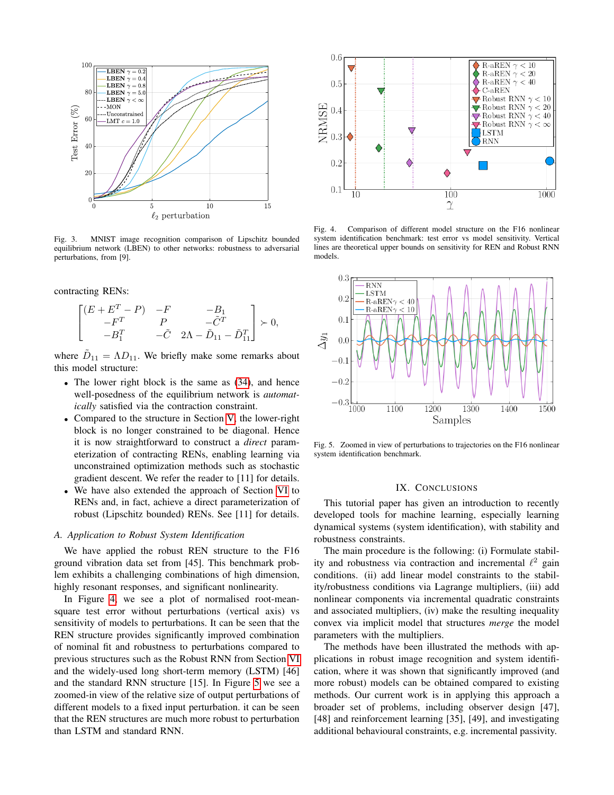

<span id="page-6-0"></span>Fig. 3. MNIST image recognition comparison of Lipschitz bounded equilibrium network (LBEN) to other networks: robustness to adversarial perturbations, from [9].

contracting RENs:

$$
\begin{bmatrix} (E+E^T-P) & -F & -B_1 \\ -F^T & P & -\tilde{C}^T \\ -B_1^T & -\tilde{C} & 2\Lambda-\tilde{D}_{11}-\tilde{D}_{11}^T \end{bmatrix} \succ 0,
$$

where  $\tilde{D}_{11} = \Lambda D_{11}$ . We briefly make some remarks about this model structure:

- The lower right block is the same as  $(34)$ , and hence well-posedness of the equilibrium network is *automatically* satisfied via the contraction constraint.
- Compared to the structure in Section [V,](#page-3-3) the lower-right block is no longer constrained to be diagonal. Hence it is now straightforward to construct a *direct* parameterization of contracting RENs, enabling learning via unconstrained optimization methods such as stochastic gradient descent. We refer the reader to [11] for details.
- We have also extended the approach of Section [VI](#page-4-4) to RENs and, in fact, achieve a direct parameterization of robust (Lipschitz bounded) RENs. See [11] for details.

# *A. Application to Robust System Identification*

We have applied the robust REN structure to the F16 ground vibration data set from [45]. This benchmark problem exhibits a challenging combinations of high dimension, highly resonant responses, and significant nonlinearity.

In Figure [4,](#page-6-1) we see a plot of normalised root-meansquare test error without perturbations (vertical axis) vs sensitivity of models to perturbations. It can be seen that the REN structure provides significantly improved combination of nominal fit and robustness to perturbations compared to previous structures such as the Robust RNN from Section [VI](#page-4-4) and the widely-used long short-term memory (LSTM) [46] and the standard RNN structure [15]. In Figure [5](#page-6-2) we see a zoomed-in view of the relative size of output perturbations of different models to a fixed input perturbation. it can be seen that the REN structures are much more robust to perturbation than LSTM and standard RNN.



<span id="page-6-1"></span>Fig. 4. Comparison of different model structure on the F16 nonlinear system identification benchmark: test error vs model sensitivity. Vertical lines are theoretical upper bounds on sensitivity for REN and Robust RNN models.



<span id="page-6-2"></span>Fig. 5. Zoomed in view of perturbations to trajectories on the F16 nonlinear system identification benchmark.

### IX. CONCLUSIONS

This tutorial paper has given an introduction to recently developed tools for machine learning, especially learning dynamical systems (system identification), with stability and robustness constraints.

The main procedure is the following: (i) Formulate stability and robustness via contraction and incremental  $\ell^2$  gain conditions. (ii) add linear model constraints to the stability/robustness conditions via Lagrange multipliers, (iii) add nonlinear components via incremental quadratic constraints and associated multipliers, (iv) make the resulting inequality convex via implicit model that structures *merge* the model parameters with the multipliers.

The methods have been illustrated the methods with applications in robust image recognition and system identification, where it was shown that significantly improved (and more robust) models can be obtained compared to existing methods. Our current work is in applying this approach a broader set of problems, including observer design [47], [48] and reinforcement learning [35], [49], and investigating additional behavioural constraints, e.g. incremental passivity.